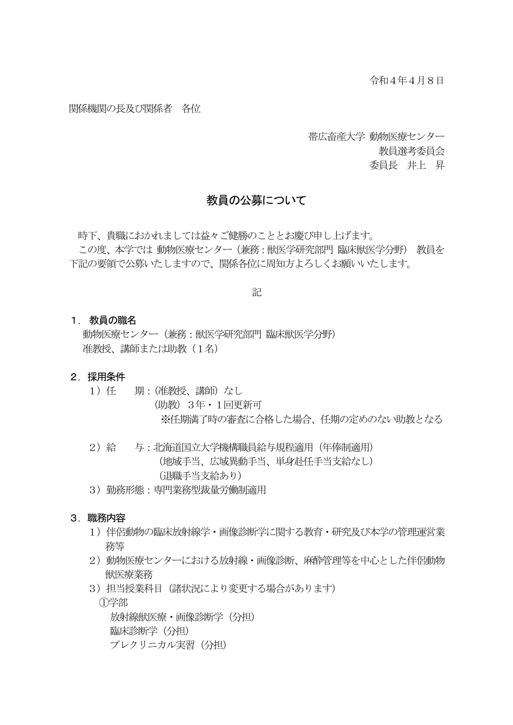#### 関係機関の長及び関係者 各位

帯広畜産大学 動物医療センター 教員選考委員会 委員長 井上 昇

#### 教員の公募について

 時下、貴職におかれましては益々ご健勝のこととお慶び申し上げます。 この度、本学では 動物医療センター(兼務:獣医学研究部門 臨床獣医学分野) 教員を 下記の要領で公募いたしますので、関係各位に周知方よろしくお願いいたします。

記

#### 1. 教員の職名

動物医療センター(兼務:獣医学研究部門 臨床獣医学分野) 准教授、講師または助教(1名)

#### 2. 採用条件

- 1)任 期:(准教授、講師)なし (助教)3年・1回更新可 ※任期満了時の審査に合格した場合、任期の定めのない助教となる
- 2)給 与:北海道国立大学機構職員給与規程適用(年俸制適用) (地域手当、広域異動手当、単身赴任手当支給なし) (退職手当支給あり)
- 3)勤務形態:専門業務型裁量労働制適用

#### 3. 職務内容

- 1) 伴侶動物の臨床放射線学・画像診断学に関する教育・研究及び本学の管理運営業 務等
- 2)動物医療センターにおける放射線・画像診断、麻酔管理等を中心とした伴侶動物 獣医療業務
- 3)担当授業科目(諸状況により変更する場合があります)

①学部

放射線獣医療・画像診断学(分担) 臨床診断学(分担) プレクリニカル実習(分担)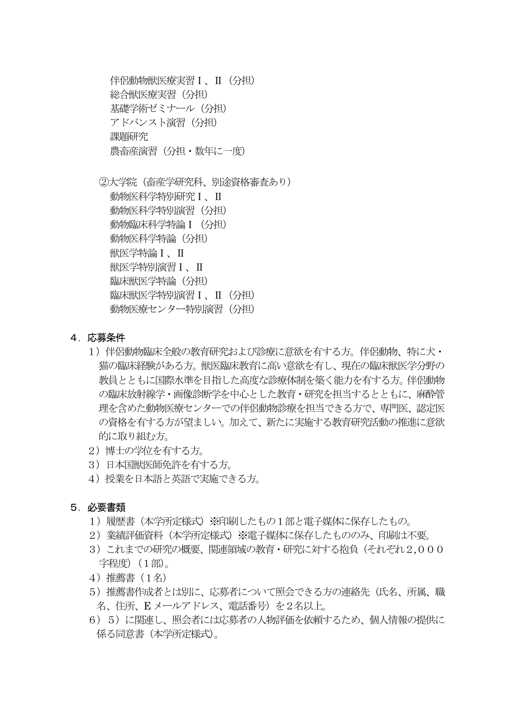伴侶動物獣医療実習Ⅰ、Ⅱ(分担) 総合獣医療実習(分担) 基礎学術ゼミナール(分担) アドバンスト演習 (分担) 課題研究 農畜産演習(分担・数年に一度)

- ②大学院(畜産学研究科、別途資格審査あり) 動物医科学特別研究Ⅰ、Ⅱ 動物医科学特別演習(分担) 動物臨床科学特論 I (分担) 動物医科学特論(分担) 獣医学特論Ⅰ、Ⅱ 獣医学特別演習Ⅰ、Ⅱ 臨床獣医学特論(分担) 臨床獣医学特別演習Ⅰ、Ⅱ(分担) 動物医療センター特別演習 (分担)
- 4.応募条件
	- 1)伴侶動物臨床全般の教育研究および診療に意欲を有する方。伴侶動物、特に犬・ 猫の臨床経験がある方。獣医臨床教育に高い意欲を有し、現在の臨床獣医学分野の 教員とともに国際水準を目指した高度な診療体制を築く能力を有する方。伴侶動物 の臨床放射線学・画像診断学を中心とした教育・研究を担当するとともに、麻酔管 理を含めた動物医療センターでの伴侶動物診療を担当できる方で、専門医、認定医 の資格を有する方が望ましい。加えて、新たに実施する教育研究活動の推進に意欲 的に取り組む方。
	- 2) 博士の学位を有する方。
	- 3)日本国獣医師免許を有する方。
	- 4)授業を日本語と英語で実施できる方。
- 5.必要書類
	- 1)履歴書(本学所定様式)※印刷したもの1部と電子媒体に保存したもの。
	- 2) 業績評価資料 (本学所定様式) ※雷子媒体に保存したもののみ、印刷は不要。
	- 3) これまでの研究の概要、関連領域の教育・研究に対する抱負(それぞれ2,000 字程度)(1部)。
	- 4)推薦書(1名)
	- 5)推薦書作成者とは別に、応募者について照会できる方の連絡先(氏名、所属、職 名、住所、E メールアドレス、電話番号)を2名以上。
	- 6)5)に関連し、照会者には応募者の人物評価を依頼するため、個人情報の提供に 係る同意書(本学所定様式)。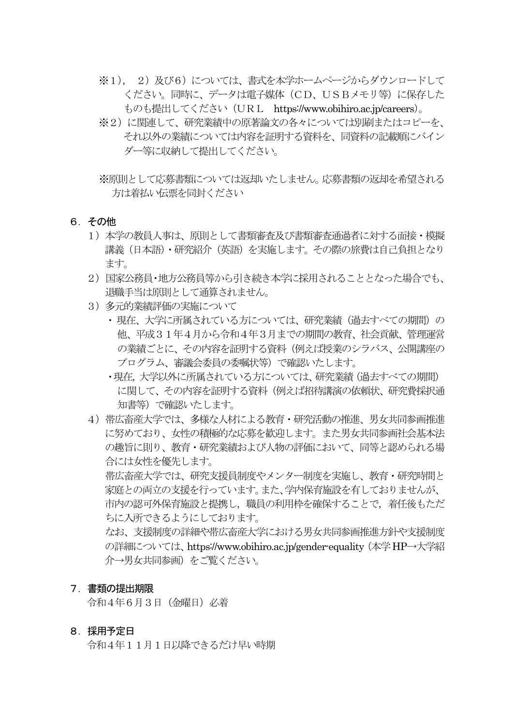- ※1), 2)及び6)については、書式を本学ホームページからダウンロードして ください。同時に、データは電子媒体(CD、USBメモリ等)に保存した ものも提出してください(URL https://www.obihiro.ac.jp/careers)。
- ※2)に関連して、研究業績中の原著論文の各々については別刷またはコピーを、 それ以外の業績については内容を証明する資料を、同資料の記載順にバイン ダー等に収納して提出してください。
- ※原則として応募書類については返却いたしません。応募書類の返却を希望される 方は着払い伝票を同封ください
- 6.その他
	- 1)本学の教員人事は、原則として書類審査及び書類審査通過者に対する面接・模擬 講義(日本語)・研究紹介(英語)を実施します。その際の旅費は自己負担となり ます。
	- 2) 国家公務員・地方公務員等から引き続き本学に採用されることとなった場合でも、 退職手当は原則として通算されません。
	- 3)多元的業績評価の実施について
		- 現在、大学に所属されている方については、研究業績(過去すべての期間)の 他、平成31年4月から令和4年3月までの期間の教育、社会貢献、管理運営 の業績ごとに、その内容を証明する資料(例えば授業のシラバス、公開講座の プログラム、審議会委員の委嘱状等)で確認いたします。
		- ・現在,大学以外に所属されている方については、研究業績(過去すべての期間) に関して、その内容を証明する資料(例えば招待講演の依頼状、研究費採択通 知書等)で確認いたします。
	- 4)帯広畜産大学では、多様な人材による教育・研究活動の推進、男女共同参画推進 に努めており、女性の積極的な応募を歓迎します。また男女共同参画社会基本法 の趣旨に則り、教育・研究業績および人物の評価において、同等と認められる場 合には女性を優先します。

帯広畜産大学では、研究支援員制度やメンター制度を実施し、教育・研究時間と 家庭との両立の支援を行っています。また、学内保育施設を有しておりませんが、 市内の認可外保育施設と提携し,職員の利用枠を確保することで,着任後もただ ちに入所できるようにしております。

なお、支援制度の詳細や帯広畜産大学における男女共同参画推進方針や支援制度 の詳細については、https://www.obihiro.ac.jp/gender-equality (本学 HP→大学紹 介→男女共同参画)をご覧ください。

#### 7.書類の提出期限

令和4年6月3日(金曜日)必着

#### 8.採用予定日

令和4年11月1日以降できるだけ早い時期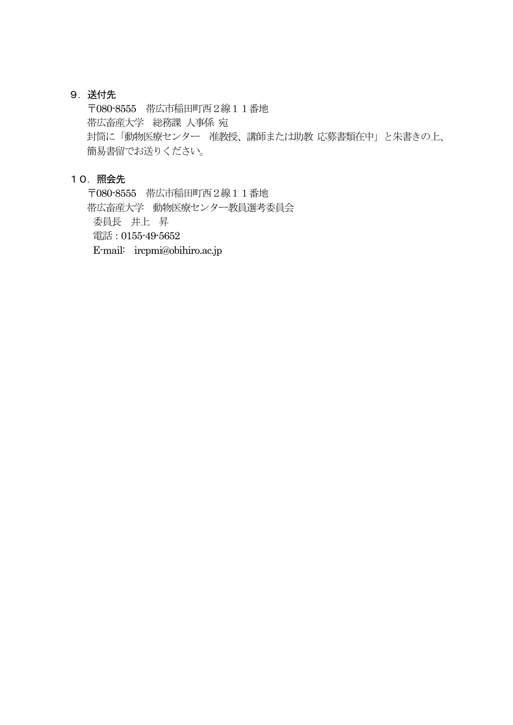## 9.送付先

〒080-8555 帯広市稲田町西2線11番地 帯広畜産大学 総務課 人事係 宛 封筒に「動物医療センター 准教授、講師または助教 応募書類在中」と朱書きの上、 簡易書留でお送りください。

## 10.照会先

〒080-8555 帯広市稲田町西2線11番地 帯広畜産大学 動物医療センター教員選考委員会 委員長 井上 昇 電話:0155-49-5652 E-mail: ircpmi@obihiro.ac.jp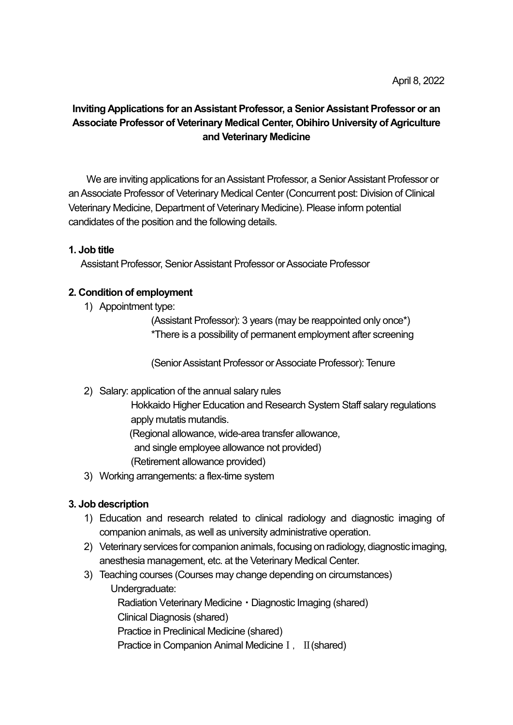# Inviting Applications for an Assistant Professor, a Senior Assistant Professor or an Associate Professor of Veterinary Medical Center, Obihiro University of Agriculture and Veterinary Medicine

We are inviting applications for an Assistant Professor, a Senior Assistant Professor or an Associate Professor of Veterinary Medical Center (Concurrent post: Division of Clinical Veterinary Medicine, Department of Veterinary Medicine). Please inform potential candidates of the position and the following details.

## 1. Job title

Assistant Professor, Senior Assistant Professor or Associate Professor

## 2. Condition of employment

1) Appointment type:

(Assistant Professor): 3 years (may be reappointed only once\*) \*There is a possibility of permanent employment after screening

(Senior Assistant Professor or Associate Professor): Tenure

## 2) Salary: application of the annual salary rules

 Hokkaido Higher Education and Research System Staff salary regulations apply mutatis mutandis.

(Regional allowance, wide-area transfer allowance,

and single employee allowance not provided)

(Retirement allowance provided)

3) Working arrangements: a flex-time system

## 3. Job description

- 1) Education and research related to clinical radiology and diagnostic imaging of companion animals, as well as university administrative operation.
- 2) Veterinary services for companion animals, focusing on radiology, diagnostic imaging, anesthesia management, etc. at the Veterinary Medical Center.
- 3) Teaching courses (Courses may change depending on circumstances)

Undergraduate:

Radiation Veterinary Medicine・Diagnostic Imaging (shared)

Clinical Diagnosis (shared)

Practice in Preclinical Medicine (shared)

Practice in Companion Animal Medicine  $I$ ,  $II$ (shared)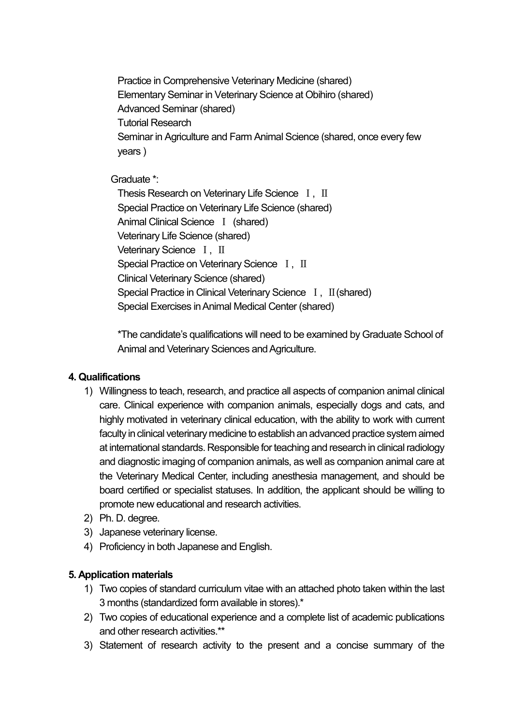Practice in Comprehensive Veterinary Medicine (shared) Elementary Seminar in Veterinary Science at Obihiro (shared) Advanced Seminar (shared) Tutorial Research Seminar in Agriculture and Farm Animal Science (shared, once every few years )

Graduate \*:

Thesis Research on Veterinary Life Science I, II Special Practice on Veterinary Life Science (shared) Animal Clinical Science Ⅰ (shared) Veterinary Life Science (shared) Veterinary Science I, II Special Practice on Veterinary Science I, II Clinical Veterinary Science (shared) Special Practice in Clinical Veterinary Science Ⅰ, Ⅱ(shared) Special Exercises in Animal Medical Center (shared)

\*The candidate's qualifications will need to be examined by Graduate School of Animal and Veterinary Sciences and Agriculture.

## 4. Qualifications

- 1) Willingness to teach, research, and practice all aspects of companion animal clinical care. Clinical experience with companion animals, especially dogs and cats, and highly motivated in veterinary clinical education, with the ability to work with current faculty in clinical veterinary medicine to establish an advanced practice system aimed at international standards. Responsible for teaching and research in clinical radiology and diagnostic imaging of companion animals, as well as companion animal care at the Veterinary Medical Center, including anesthesia management, and should be board certified or specialist statuses. In addition, the applicant should be willing to promote new educational and research activities.
- 2) Ph. D. degree.
- 3) Japanese veterinary license.
- 4) Proficiency in both Japanese and English.

## 5. Application materials

- 1) Two copies of standard curriculum vitae with an attached photo taken within the last 3 months (standardized form available in stores).\*
- 2) Two copies of educational experience and a complete list of academic publications and other research activities.\*\*
- 3) Statement of research activity to the present and a concise summary of the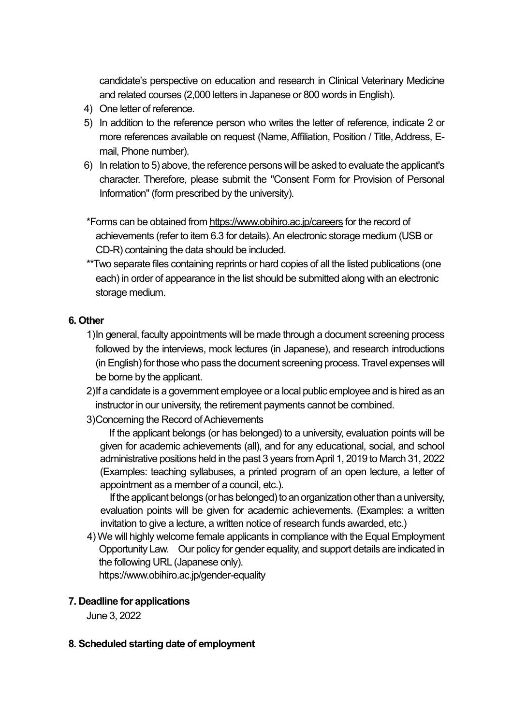candidate's perspective on education and research in Clinical Veterinary Medicine and related courses (2,000 letters in Japanese or 800 words in English).

- 4) One letter of reference.
- 5) In addition to the reference person who writes the letter of reference, indicate 2 or more references available on request (Name, Affiliation, Position / Title, Address, Email, Phone number).
- 6) In relation to 5) above, the reference persons will be asked to evaluate the applicant's character. Therefore, please submit the "Consent Form for Provision of Personal Information" (form prescribed by the university).

\*Forms can be obtained from https://www.obihiro.ac.jp/careers for the record of achievements (refer to item 6.3 for details). An electronic storage medium (USB or CD-R) containing the data should be included.

\*\*Two separate files containing reprints or hard copies of all the listed publications (one each) in order of appearance in the list should be submitted along with an electronic storage medium.

### 6. Other

- 1) In general, faculty appointments will be made through a document screening process followed by the interviews, mock lectures (in Japanese), and research introductions (in English) for those who pass the document screening process. Travel expenses will be borne by the applicant.
- 2) If a candidate is a government employee or a local public employee and is hired as an instructor in our university, the retirement payments cannot be combined.
- 3) Concerning the Record of Achievements

If the applicant belongs (or has belonged) to a university, evaluation points will be given for academic achievements (all), and for any educational, social, and school administrative positions held in the past 3 years from April 1, 2019 to March 31, 2022 (Examples: teaching syllabuses, a printed program of an open lecture, a letter of appointment as a member of a council, etc.).

If the applicant belongs (or has belonged) to an organization other than a university, evaluation points will be given for academic achievements. (Examples: a written invitation to give a lecture, a written notice of research funds awarded, etc.)

4)We will highly welcome female applicants in compliance with the Equal Employment Opportunity Law. Our policy for gender equality, and support details are indicated in the following URL (Japanese only).

https://www.obihiro.ac.jp/gender-equality

### 7. Deadline for applications

June 3, 2022

### 8. Scheduled starting date of employment